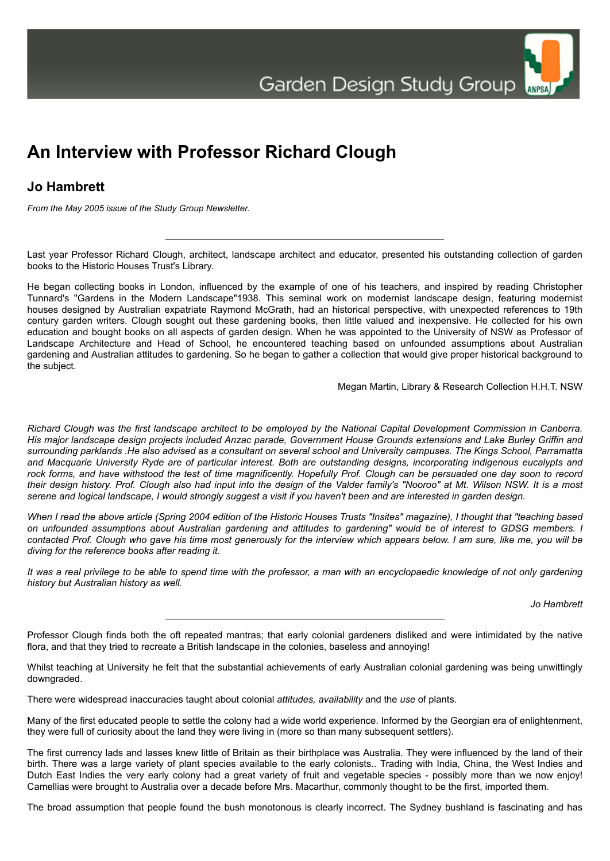

## **Jo Hambrett**

*From the May 2005 issue of the Study Group Newsletter.*

Last year Professor Richard Clough, architect, landscape architect and educator, presented his outstanding collection of garden books to the Historic Houses Trust's Library.

He began collecting books in London, influenced by the example of one of his teachers, and inspired by reading Christopher Tunnard's "Gardens in the Modern Landscape"1938. This seminal work on modernist landscape design, featuring modernist houses designed by Australian expatriate Raymond McGrath, had an historical perspective, with unexpected references to 19th century garden writers. Clough sought out these gardening books, then little valued and inexpensive. He collected for his own education and bought books on all aspects of garden design. When he was appointed to the University of NSW as Professor of Landscape Architecture and Head of School, he encountered teaching based on unfounded assumptions about Australian gardening and Australian attitudes to gardening. So he began to gather a collection that would give proper historical background to the subject.

Megan Martin, Library & Research Collection H.H.T. NSW

*Richard Clough was the first landscape architect to be employed by the National Capital Development Commission in Canberra. His major landscape design projects included Anzac parade, Government House Grounds extensions and Lake Burley Griffin and surrounding parklands .He also advised as a consultant on several school and University campuses. The Kings School, Parramatta and Macquarie University Ryde are of particular interest. Both are outstanding designs, incorporating indigenous eucalypts and rock forms, and have withstood the test of time magnificently. Hopefully Prof. Clough can be persuaded one day soon to record their design history. Prof. Clough also had input into the design of the Valder family's "Nooroo" at Mt. Wilson NSW. It is a most serene and logical landscape, I would strongly suggest a visit if you haven't been and are interested in garden design.*

*When I read the above article (Spring 2004 edition of the Historic Houses Trusts "Insites" magazine), I thought that "teaching based on unfounded assumptions about Australian gardening and attitudes to gardening" would be of interest to GDSG members. I contacted Prof. Clough who gave his time most generously for the interview which appears below. I am sure, like me, you will be diving for the reference books after reading it.*

*It was a real privilege to be able to spend time with the professor, a man with an encyclopaedic knowledge of not only gardening history but Australian history as well.*

*Jo Hambrett*

ANPSA

Professor Clough finds both the oft repeated mantras; that early colonial gardeners disliked and were intimidated by the native flora, and that they tried to recreate a British landscape in the colonies, baseless and annoying!

Whilst teaching at University he felt that the substantial achievements of early Australian colonial gardening was being unwittingly downgraded.

There were widespread inaccuracies taught about colonial *attitudes, availability* and the *use* of plants.

Many of the first educated people to settle the colony had a wide world experience. Informed by the Georgian era of enlightenment, they were full of curiosity about the land they were living in (more so than many subsequent settlers).

The first currency lads and lasses knew little of Britain as their birthplace was Australia. They were influenced by the land of their birth. There was a large variety of plant species available to the early colonists.. Trading with India, China, the West Indies and Dutch East Indies the very early colony had a great variety of fruit and vegetable species - possibly more than we now enjoy! Camellias were brought to Australia over a decade before Mrs. Macarthur, commonly thought to be the first, imported them.

The broad assumption that people found the bush monotonous is clearly incorrect. The Sydney bushland is fascinating and has